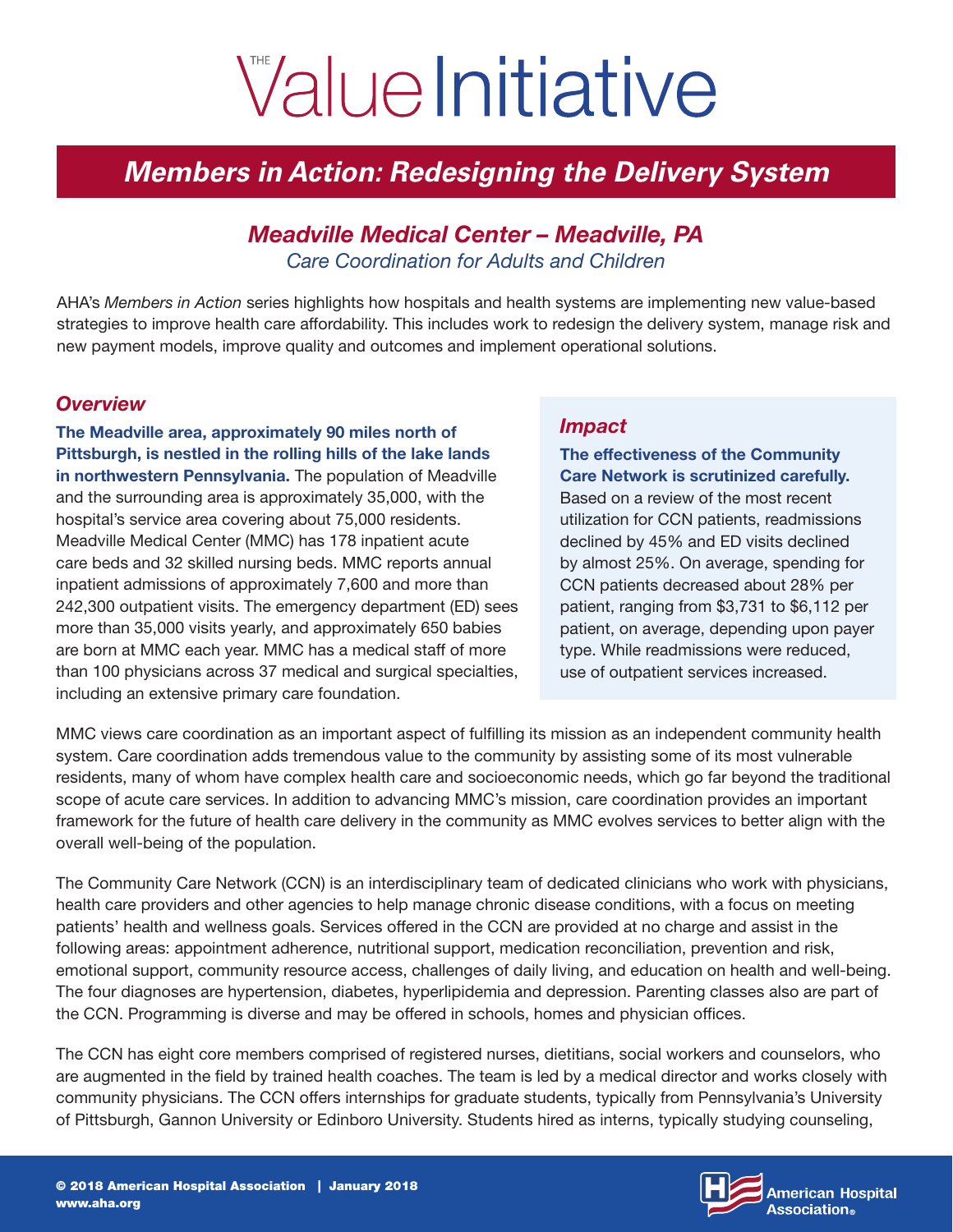# ValueInitiative

# *Members in Action: Redesigning the Delivery System*

### *Meadville Medical Center – Meadville, PA Care Coordination for Adults and Children*

AHA's *Members in Action* series highlights how hospitals and health systems are implementing new value-based strategies to improve health care affordability. This includes work to redesign the delivery system, manage risk and new payment models, improve quality and outcomes and implement operational solutions.

#### *Overview*

The Meadville area, approximately 90 miles north of Pittsburgh, is nestled in the rolling hills of the lake lands in northwestern Pennsylvania. The population of Meadville and the surrounding area is approximately 35,000, with the hospital's service area covering about 75,000 residents. Meadville Medical Center (MMC) has 178 inpatient acute care beds and 32 skilled nursing beds. MMC reports annual inpatient admissions of approximately 7,600 and more than 242,300 outpatient visits. The emergency department (ED) sees more than 35,000 visits yearly, and approximately 650 babies are born at MMC each year. MMC has a medical staff of more than 100 physicians across 37 medical and surgical specialties, including an extensive primary care foundation.

#### *Impact*

#### The effectiveness of the Community Care Network is scrutinized carefully.

Based on a review of the most recent utilization for CCN patients, readmissions declined by 45% and ED visits declined by almost 25%. On average, spending for CCN patients decreased about 28% per patient, ranging from \$3,731 to \$6,112 per patient, on average, depending upon payer type. While readmissions were reduced, use of outpatient services increased.

MMC views care coordination as an important aspect of fulfilling its mission as an independent community health system. Care coordination adds tremendous value to the community by assisting some of its most vulnerable residents, many of whom have complex health care and socioeconomic needs, which go far beyond the traditional scope of acute care services. In addition to advancing MMC's mission, care coordination provides an important framework for the future of health care delivery in the community as MMC evolves services to better align with the overall well-being of the population.

The Community Care Network (CCN) is an interdisciplinary team of dedicated clinicians who work with physicians, health care providers and other agencies to help manage chronic disease conditions, with a focus on meeting patients' health and wellness goals. Services offered in the CCN are provided at no charge and assist in the following areas: appointment adherence, nutritional support, medication reconciliation, prevention and risk, emotional support, community resource access, challenges of daily living, and education on health and well-being. The four diagnoses are hypertension, diabetes, hyperlipidemia and depression. Parenting classes also are part of the CCN. Programming is diverse and may be offered in schools, homes and physician offices.

The CCN has eight core members comprised of registered nurses, dietitians, social workers and counselors, who are augmented in the field by trained health coaches. The team is led by a medical director and works closely with community physicians. The CCN offers internships for graduate students, typically from Pennsylvania's University of Pittsburgh, Gannon University or Edinboro University. Students hired as interns, typically studying counseling,